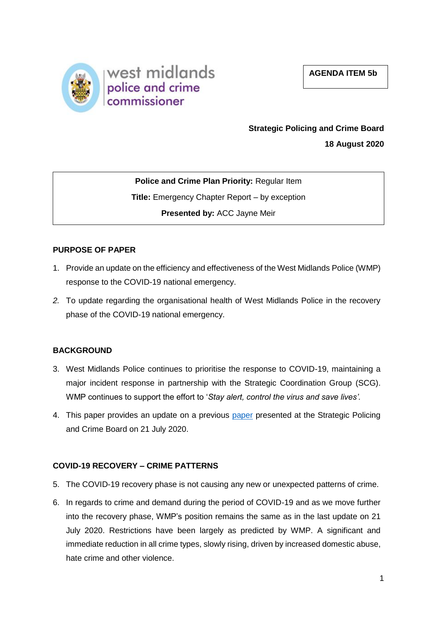



# **Strategic Policing and Crime Board**

**18 August 2020**

**Police and Crime Plan Priority:** Regular Item **Title:** Emergency Chapter Report – by exception **Presented by:** ACC Jayne Meir

### **PURPOSE OF PAPER**

- 1. Provide an update on the efficiency and effectiveness of the West Midlands Police (WMP) response to the COVID-19 national emergency.
- *2.* To update regarding the organisational health of West Midlands Police in the recovery phase of the COVID-19 national emergency.

## **BACKGROUND**

- 3. West Midlands Police continues to prioritise the response to COVID-19, maintaining a major incident response in partnership with the Strategic Coordination Group (SCG). WMP continues to support the effort to '*Stay alert, control the virus and save lives'.*
- 4. This paper provides an update on a previous [paper](https://www.westmidlands-pcc.gov.uk/wp-content/uploads/2020/07/21072020-SPCB-Agenda-Item-9-Emergency-Chapter.pdf?x83908) presented at the Strategic Policing and Crime Board on 21 July 2020.

## **COVID-19 RECOVERY – CRIME PATTERNS**

- 5. The COVID-19 recovery phase is not causing any new or unexpected patterns of crime.
- 6. In regards to crime and demand during the period of COVID-19 and as we move further into the recovery phase, WMP's position remains the same as in the last update on 21 July 2020. Restrictions have been largely as predicted by WMP. A significant and immediate reduction in all crime types, slowly rising, driven by increased domestic abuse, hate crime and other violence.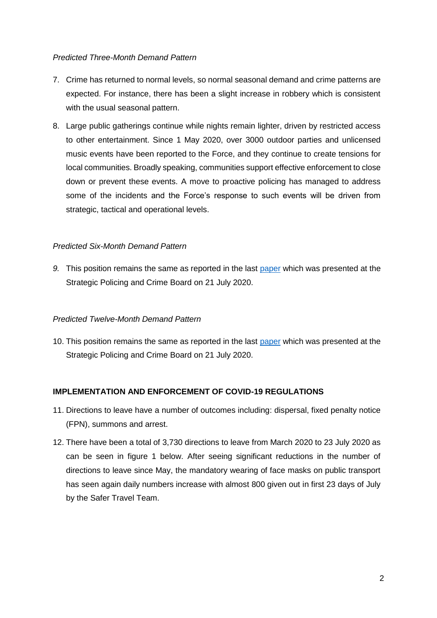### *Predicted Three-Month Demand Pattern*

- 7. Crime has returned to normal levels, so normal seasonal demand and crime patterns are expected. For instance, there has been a slight increase in robbery which is consistent with the usual seasonal pattern.
- 8. Large public gatherings continue while nights remain lighter, driven by restricted access to other entertainment. Since 1 May 2020, over 3000 outdoor parties and unlicensed music events have been reported to the Force, and they continue to create tensions for local communities. Broadly speaking, communities support effective enforcement to close down or prevent these events. A move to proactive policing has managed to address some of the incidents and the Force's response to such events will be driven from strategic, tactical and operational levels.

### *Predicted Six-Month Demand Pattern*

*9.* This position remains the same as reported in the last [paper](https://www.westmidlands-pcc.gov.uk/wp-content/uploads/2020/07/21072020-SPCB-Agenda-Item-9-Emergency-Chapter.pdf?x83908) which was presented at the Strategic Policing and Crime Board on 21 July 2020.

#### *Predicted Twelve-Month Demand Pattern*

10. This position remains the same as reported in the last [paper](https://www.westmidlands-pcc.gov.uk/wp-content/uploads/2020/07/21072020-SPCB-Agenda-Item-9-Emergency-Chapter.pdf?x83908) which was presented at the Strategic Policing and Crime Board on 21 July 2020.

### **IMPLEMENTATION AND ENFORCEMENT OF COVID-19 REGULATIONS**

- 11. Directions to leave have a number of outcomes including: dispersal, fixed penalty notice (FPN), summons and arrest.
- 12. There have been a total of 3,730 directions to leave from March 2020 to 23 July 2020 as can be seen in figure 1 below. After seeing significant reductions in the number of directions to leave since May, the mandatory wearing of face masks on public transport has seen again daily numbers increase with almost 800 given out in first 23 days of July by the Safer Travel Team.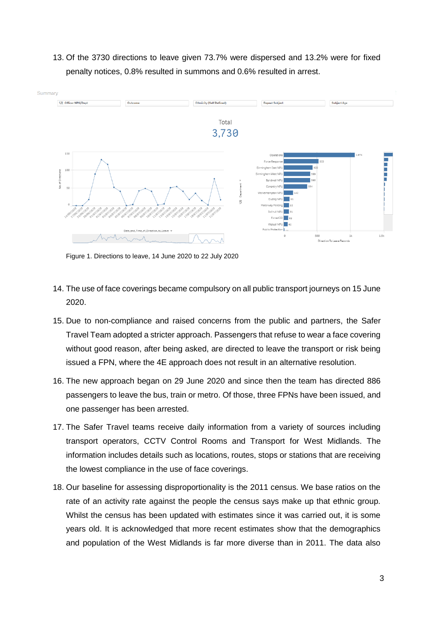13. Of the 3730 directions to leave given 73.7% were dispersed and 13.2% were for fixed penalty notices, 0.8% resulted in summons and 0.6% resulted in arrest.



Figure 1. Directions to leave, 14 June 2020 to 22 July 2020

- 14. The use of face coverings became compulsory on all public transport journeys on 15 June 2020.
- 15. Due to non-compliance and raised concerns from the public and partners, the Safer Travel Team adopted a stricter approach. Passengers that refuse to wear a face covering without good reason, after being asked, are directed to leave the transport or risk being issued a FPN, where the 4E approach does not result in an alternative resolution.
- 16. The new approach began on 29 June 2020 and since then the team has directed 886 passengers to leave the bus, train or metro. Of those, three FPNs have been issued, and one passenger has been arrested.
- 17. The Safer Travel teams receive daily information from a variety of sources including transport operators, CCTV Control Rooms and Transport for West Midlands. The information includes details such as locations, routes, stops or stations that are receiving the lowest compliance in the use of face coverings.
- 18. Our baseline for assessing disproportionality is the 2011 census. We base ratios on the rate of an activity rate against the people the census says make up that ethnic group. Whilst the census has been updated with estimates since it was carried out, it is some years old. It is acknowledged that more recent estimates show that the demographics and population of the West Midlands is far more diverse than in 2011. The data also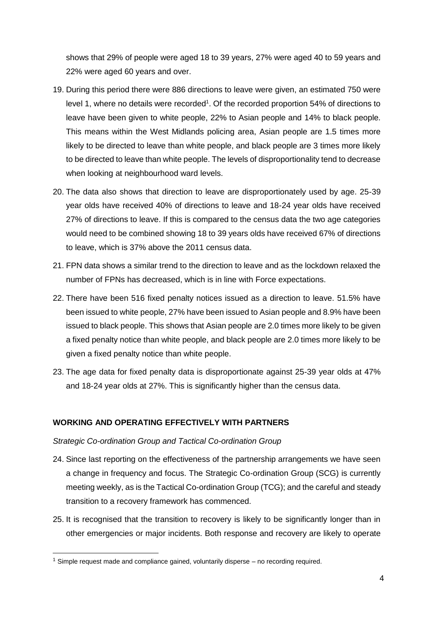shows that 29% of people were aged 18 to 39 years, 27% were aged 40 to 59 years and 22% were aged 60 years and over.

- 19. During this period there were 886 directions to leave were given, an estimated 750 were level 1, where no details were recorded<sup>1</sup>. Of the recorded proportion 54% of directions to leave have been given to white people, 22% to Asian people and 14% to black people. This means within the West Midlands policing area, Asian people are 1.5 times more likely to be directed to leave than white people, and black people are 3 times more likely to be directed to leave than white people. The levels of disproportionality tend to decrease when looking at neighbourhood ward levels.
- 20. The data also shows that direction to leave are disproportionately used by age. 25-39 year olds have received 40% of directions to leave and 18-24 year olds have received 27% of directions to leave. If this is compared to the census data the two age categories would need to be combined showing 18 to 39 years olds have received 67% of directions to leave, which is 37% above the 2011 census data.
- 21. FPN data shows a similar trend to the direction to leave and as the lockdown relaxed the number of FPNs has decreased, which is in line with Force expectations.
- 22. There have been 516 fixed penalty notices issued as a direction to leave. 51.5% have been issued to white people, 27% have been issued to Asian people and 8.9% have been issued to black people. This shows that Asian people are 2.0 times more likely to be given a fixed penalty notice than white people, and black people are 2.0 times more likely to be given a fixed penalty notice than white people.
- 23. The age data for fixed penalty data is disproportionate against 25-39 year olds at 47% and 18-24 year olds at 27%. This is significantly higher than the census data.

## **WORKING AND OPERATING EFFECTIVELY WITH PARTNERS**

### *Strategic Co-ordination Group and Tactical Co-ordination Group*

- 24. Since last reporting on the effectiveness of the partnership arrangements we have seen a change in frequency and focus. The Strategic Co-ordination Group (SCG) is currently meeting weekly, as is the Tactical Co-ordination Group (TCG); and the careful and steady transition to a recovery framework has commenced.
- 25. It is recognised that the transition to recovery is likely to be significantly longer than in other emergencies or major incidents. Both response and recovery are likely to operate

-

 $1$  Simple request made and compliance gained, voluntarily disperse – no recording required.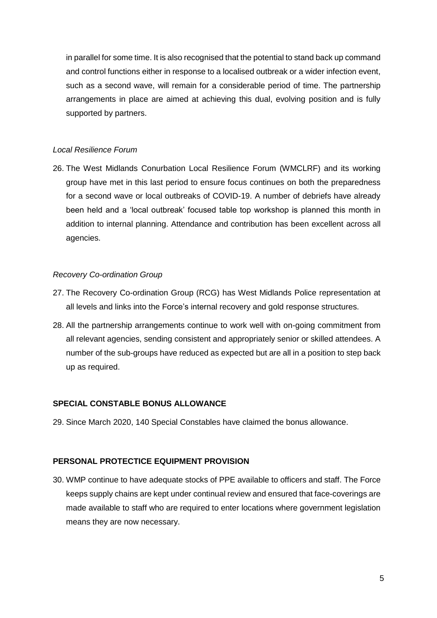in parallel for some time. It is also recognised that the potential to stand back up command and control functions either in response to a localised outbreak or a wider infection event, such as a second wave, will remain for a considerable period of time. The partnership arrangements in place are aimed at achieving this dual, evolving position and is fully supported by partners.

#### *Local Resilience Forum*

26. The West Midlands Conurbation Local Resilience Forum (WMCLRF) and its working group have met in this last period to ensure focus continues on both the preparedness for a second wave or local outbreaks of COVID-19. A number of debriefs have already been held and a 'local outbreak' focused table top workshop is planned this month in addition to internal planning. Attendance and contribution has been excellent across all agencies.

#### *Recovery Co-ordination Group*

- 27. The Recovery Co-ordination Group (RCG) has West Midlands Police representation at all levels and links into the Force's internal recovery and gold response structures.
- 28. All the partnership arrangements continue to work well with on-going commitment from all relevant agencies, sending consistent and appropriately senior or skilled attendees. A number of the sub-groups have reduced as expected but are all in a position to step back up as required.

### **SPECIAL CONSTABLE BONUS ALLOWANCE**

29. Since March 2020, 140 Special Constables have claimed the bonus allowance.

#### **PERSONAL PROTECTICE EQUIPMENT PROVISION**

30. WMP continue to have adequate stocks of PPE available to officers and staff. The Force keeps supply chains are kept under continual review and ensured that face-coverings are made available to staff who are required to enter locations where government legislation means they are now necessary.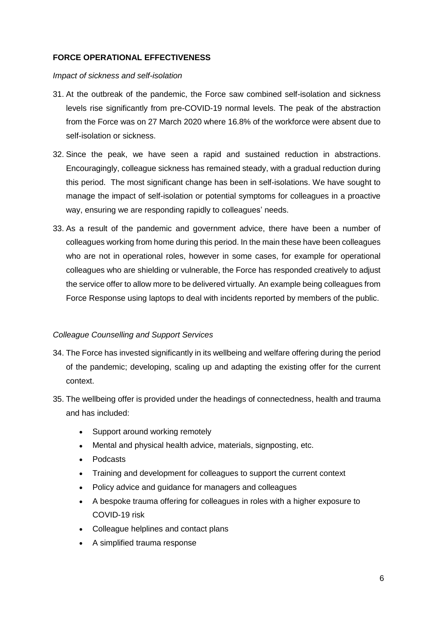### **FORCE OPERATIONAL EFFECTIVENESS**

#### *Impact of sickness and self-isolation*

- 31. At the outbreak of the pandemic, the Force saw combined self-isolation and sickness levels rise significantly from pre-COVID-19 normal levels. The peak of the abstraction from the Force was on 27 March 2020 where 16.8% of the workforce were absent due to self-isolation or sickness.
- 32. Since the peak, we have seen a rapid and sustained reduction in abstractions. Encouragingly, colleague sickness has remained steady, with a gradual reduction during this period. The most significant change has been in self-isolations. We have sought to manage the impact of self-isolation or potential symptoms for colleagues in a proactive way, ensuring we are responding rapidly to colleagues' needs.
- 33. As a result of the pandemic and government advice, there have been a number of colleagues working from home during this period. In the main these have been colleagues who are not in operational roles, however in some cases, for example for operational colleagues who are shielding or vulnerable, the Force has responded creatively to adjust the service offer to allow more to be delivered virtually. An example being colleagues from Force Response using laptops to deal with incidents reported by members of the public.

### *Colleague Counselling and Support Services*

- 34. The Force has invested significantly in its wellbeing and welfare offering during the period of the pandemic; developing, scaling up and adapting the existing offer for the current context.
- 35. The wellbeing offer is provided under the headings of connectedness, health and trauma and has included:
	- Support around working remotely
	- Mental and physical health advice, materials, signposting, etc.
	- Podcasts
	- Training and development for colleagues to support the current context
	- Policy advice and guidance for managers and colleagues
	- A bespoke trauma offering for colleagues in roles with a higher exposure to COVID-19 risk
	- Colleague helplines and contact plans
	- A simplified trauma response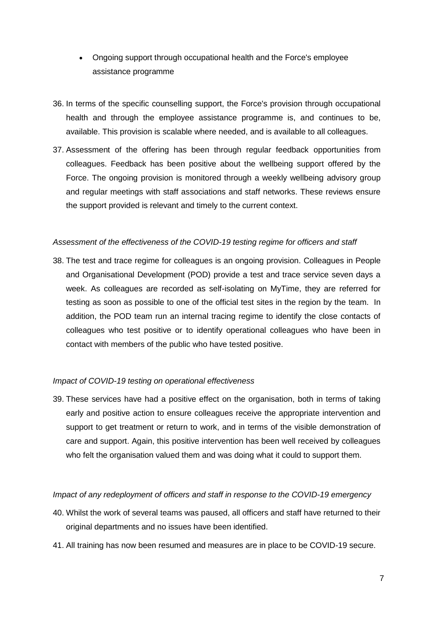- Ongoing support through occupational health and the Force's employee assistance programme
- 36. In terms of the specific counselling support, the Force's provision through occupational health and through the employee assistance programme is, and continues to be, available. This provision is scalable where needed, and is available to all colleagues.
- 37. Assessment of the offering has been through regular feedback opportunities from colleagues. Feedback has been positive about the wellbeing support offered by the Force. The ongoing provision is monitored through a weekly wellbeing advisory group and regular meetings with staff associations and staff networks. These reviews ensure the support provided is relevant and timely to the current context.

### *Assessment of the effectiveness of the COVID-19 testing regime for officers and staff*

38. The test and trace regime for colleagues is an ongoing provision. Colleagues in People and Organisational Development (POD) provide a test and trace service seven days a week. As colleagues are recorded as self-isolating on MyTime, they are referred for testing as soon as possible to one of the official test sites in the region by the team. In addition, the POD team run an internal tracing regime to identify the close contacts of colleagues who test positive or to identify operational colleagues who have been in contact with members of the public who have tested positive.

#### *Impact of COVID-19 testing on operational effectiveness*

39. These services have had a positive effect on the organisation, both in terms of taking early and positive action to ensure colleagues receive the appropriate intervention and support to get treatment or return to work, and in terms of the visible demonstration of care and support. Again, this positive intervention has been well received by colleagues who felt the organisation valued them and was doing what it could to support them.

#### *Impact of any redeployment of officers and staff in response to the COVID-19 emergency*

- 40. Whilst the work of several teams was paused, all officers and staff have returned to their original departments and no issues have been identified.
- 41. All training has now been resumed and measures are in place to be COVID-19 secure.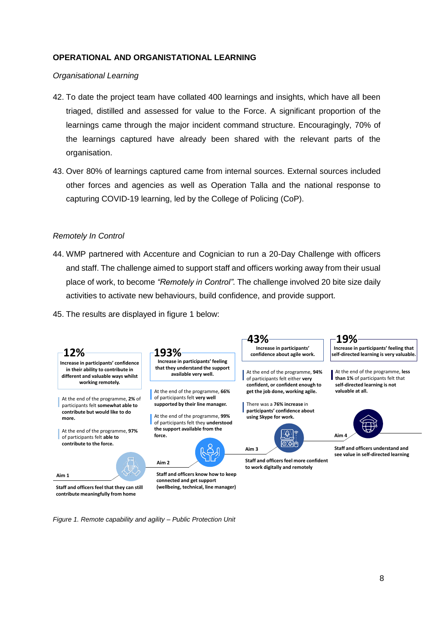#### **OPERATIONAL AND ORGANISTATIONAL LEARNING**

#### *Organisational Learning*

- 42. To date the project team have collated 400 learnings and insights, which have all been triaged, distilled and assessed for value to the Force. A significant proportion of the learnings came through the major incident command structure. Encouragingly, 70% of the learnings captured have already been shared with the relevant parts of the organisation.
- 43. Over 80% of learnings captured came from internal sources. External sources included other forces and agencies as well as Operation Talla and the national response to capturing COVID-19 learning, led by the College of Policing (CoP).

#### *Remotely In Control*

- 44. WMP partnered with Accenture and Cognician to run a 20-Day Challenge with officers and staff. The challenge aimed to support staff and officers working away from their usual place of work, to become *"Remotely in Control"*. The challenge involved 20 bite size daily activities to activate new behaviours, build confidence, and provide support.
- 45. The results are displayed in figure 1 below:



*Figure 1. Remote capability and agility – Public Protection Unit*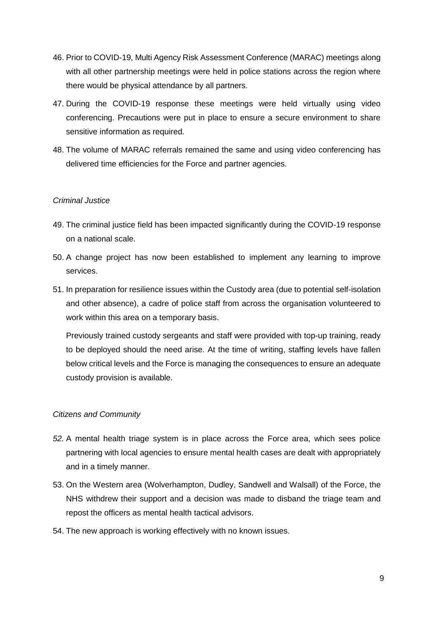- 46. Prior to COVID-19, Multi Agency Risk Assessment Conference (MARAC) meetings along with all other partnership meetings were held in police stations across the region where there would be physical attendance by all partners.
- 47. During the COVID-19 response these meetings were held virtually using video conferencing. Precautions were put in place to ensure a secure environment to share sensitive information as required.
- 48. The volume of MARAC referrals remained the same and using video conferencing has delivered time efficiencies for the Force and partner agencies.

### *Criminal Justice*

- 49. The criminal justice field has been impacted significantly during the COVID-19 response on a national scale.
- 50. A change project has now been established to implement any learning to improve services.
- 51. In preparation for resilience issues within the Custody area (due to potential self-isolation and other absence), a cadre of police staff from across the organisation volunteered to work within this area on a temporary basis.

Previously trained custody sergeants and staff were provided with top-up training, ready to be deployed should the need arise. At the time of writing, staffing levels have fallen below critical levels and the Force is managing the consequences to ensure an adequate custody provision is available.

## *Citizens and Community*

- *52.* A mental health triage system is in place across the Force area, which sees police partnering with local agencies to ensure mental health cases are dealt with appropriately and in a timely manner.
- 53. On the Western area (Wolverhampton, Dudley, Sandwell and Walsall) of the Force, the NHS withdrew their support and a decision was made to disband the triage team and repost the officers as mental health tactical advisors.
- 54. The new approach is working effectively with no known issues.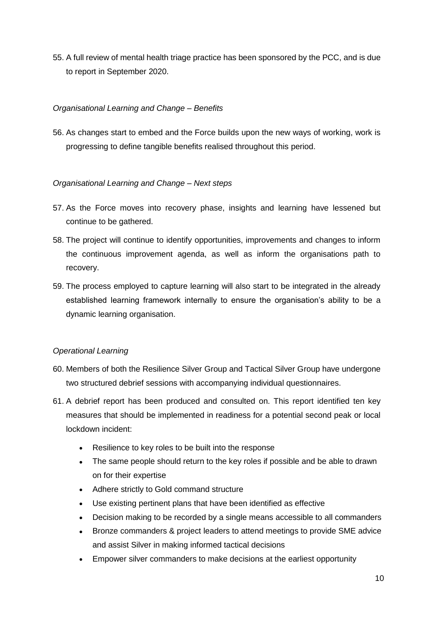55. A full review of mental health triage practice has been sponsored by the PCC, and is due to report in September 2020.

## *Organisational Learning and Change – Benefits*

56. As changes start to embed and the Force builds upon the new ways of working, work is progressing to define tangible benefits realised throughout this period.

### *Organisational Learning and Change – Next steps*

- 57. As the Force moves into recovery phase, insights and learning have lessened but continue to be gathered.
- 58. The project will continue to identify opportunities, improvements and changes to inform the continuous improvement agenda, as well as inform the organisations path to recovery.
- 59. The process employed to capture learning will also start to be integrated in the already established learning framework internally to ensure the organisation's ability to be a dynamic learning organisation.

### *Operational Learning*

- 60. Members of both the Resilience Silver Group and Tactical Silver Group have undergone two structured debrief sessions with accompanying individual questionnaires.
- 61. A debrief report has been produced and consulted on. This report identified ten key measures that should be implemented in readiness for a potential second peak or local lockdown incident:
	- Resilience to key roles to be built into the response
	- The same people should return to the key roles if possible and be able to drawn on for their expertise
	- Adhere strictly to Gold command structure
	- Use existing pertinent plans that have been identified as effective
	- Decision making to be recorded by a single means accessible to all commanders
	- Bronze commanders & project leaders to attend meetings to provide SME advice and assist Silver in making informed tactical decisions
	- Empower silver commanders to make decisions at the earliest opportunity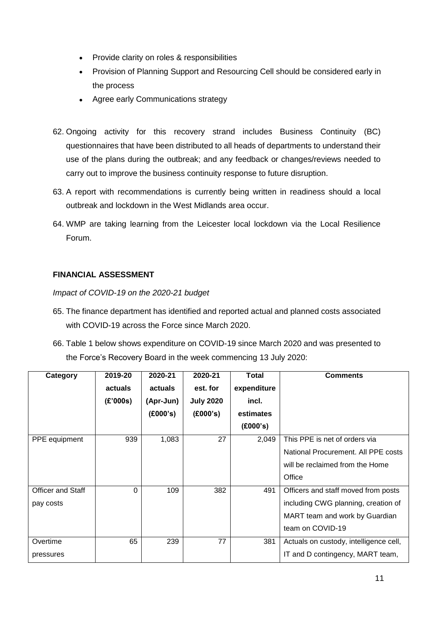- Provide clarity on roles & responsibilities
- Provision of Planning Support and Resourcing Cell should be considered early in the process
- Agree early Communications strategy
- 62. Ongoing activity for this recovery strand includes Business Continuity (BC) questionnaires that have been distributed to all heads of departments to understand their use of the plans during the outbreak; and any feedback or changes/reviews needed to carry out to improve the business continuity response to future disruption.
- 63. A report with recommendations is currently being written in readiness should a local outbreak and lockdown in the West Midlands area occur.
- 64. WMP are taking learning from the Leicester local lockdown via the Local Resilience Forum.

## **FINANCIAL ASSESSMENT**

*Impact of COVID-19 on the 2020-21 budget*

- 65. The finance department has identified and reported actual and planned costs associated with COVID-19 across the Force since March 2020.
- 66. Table 1 below shows expenditure on COVID-19 since March 2020 and was presented to the Force's Recovery Board in the week commencing 13 July 2020:

| Category                 | 2019-20  | 2020-21   | 2020-21          | Total       | <b>Comments</b>                        |
|--------------------------|----------|-----------|------------------|-------------|----------------------------------------|
|                          | actuals  | actuals   | est. for         | expenditure |                                        |
|                          | (E'000s) | (Apr-Jun) | <b>July 2020</b> | incl.       |                                        |
|                          |          | (E000's)  | (£000's)         | estimates   |                                        |
|                          |          |           |                  | (£000's)    |                                        |
| PPE equipment            | 939      | 1,083     | 27               | 2,049       | This PPE is net of orders via          |
|                          |          |           |                  |             | National Procurement. All PPE costs    |
|                          |          |           |                  |             | will be reclaimed from the Home        |
|                          |          |           |                  |             | Office                                 |
| <b>Officer and Staff</b> | $\Omega$ | 109       | 382              | 491         | Officers and staff moved from posts    |
| pay costs                |          |           |                  |             | including CWG planning, creation of    |
|                          |          |           |                  |             | MART team and work by Guardian         |
|                          |          |           |                  |             | team on COVID-19                       |
| Overtime                 | 65       | 239       | 77               | 381         | Actuals on custody, intelligence cell, |
| pressures                |          |           |                  |             | IT and D contingency, MART team,       |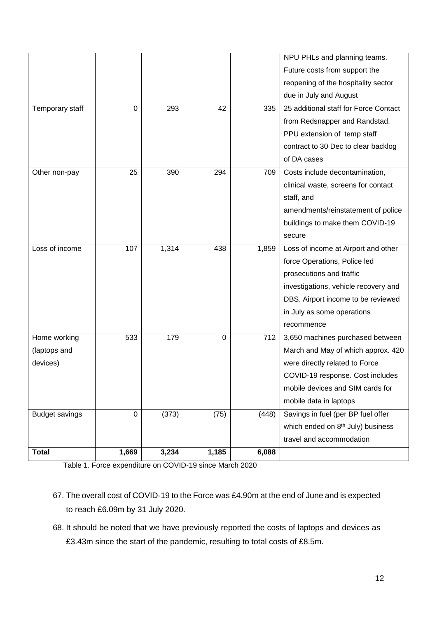|                       |       |       |          |       | NPU PHLs and planning teams.                  |
|-----------------------|-------|-------|----------|-------|-----------------------------------------------|
|                       |       |       |          |       | Future costs from support the                 |
|                       |       |       |          |       | reopening of the hospitality sector           |
|                       |       |       |          |       | due in July and August                        |
| Temporary staff       | 0     | 293   | 42       | 335   | 25 additional staff for Force Contact         |
|                       |       |       |          |       | from Redsnapper and Randstad.                 |
|                       |       |       |          |       | PPU extension of temp staff                   |
|                       |       |       |          |       | contract to 30 Dec to clear backlog           |
|                       |       |       |          |       | of DA cases                                   |
| Other non-pay         | 25    | 390   | 294      | 709   | Costs include decontamination,                |
|                       |       |       |          |       | clinical waste, screens for contact           |
|                       |       |       |          |       | staff, and                                    |
|                       |       |       |          |       | amendments/reinstatement of police            |
|                       |       |       |          |       | buildings to make them COVID-19               |
|                       |       |       |          |       | secure                                        |
| Loss of income        | 107   | 1,314 | 438      | 1,859 | Loss of income at Airport and other           |
|                       |       |       |          |       | force Operations, Police led                  |
|                       |       |       |          |       | prosecutions and traffic                      |
|                       |       |       |          |       | investigations, vehicle recovery and          |
|                       |       |       |          |       | DBS. Airport income to be reviewed            |
|                       |       |       |          |       | in July as some operations                    |
|                       |       |       |          |       | recommence                                    |
| Home working          | 533   | 179   | $\Omega$ | 712   | 3,650 machines purchased between              |
| (laptops and          |       |       |          |       | March and May of which approx. 420            |
| devices)              |       |       |          |       | were directly related to Force                |
|                       |       |       |          |       | COVID-19 response. Cost includes              |
|                       |       |       |          |       | mobile devices and SIM cards for              |
|                       |       |       |          |       | mobile data in laptops                        |
| <b>Budget savings</b> | 0     | (373) | (75)     | (448) | Savings in fuel (per BP fuel offer            |
|                       |       |       |          |       | which ended on 8 <sup>th</sup> July) business |
|                       |       |       |          |       | travel and accommodation                      |
| <b>Total</b>          | 1,669 | 3,234 | 1,185    | 6,088 |                                               |

Table 1. Force expenditure on COVID-19 since March 2020

- 67. The overall cost of COVID-19 to the Force was £4.90m at the end of June and is expected to reach £6.09m by 31 July 2020.
- 68. It should be noted that we have previously reported the costs of laptops and devices as £3.43m since the start of the pandemic, resulting to total costs of £8.5m.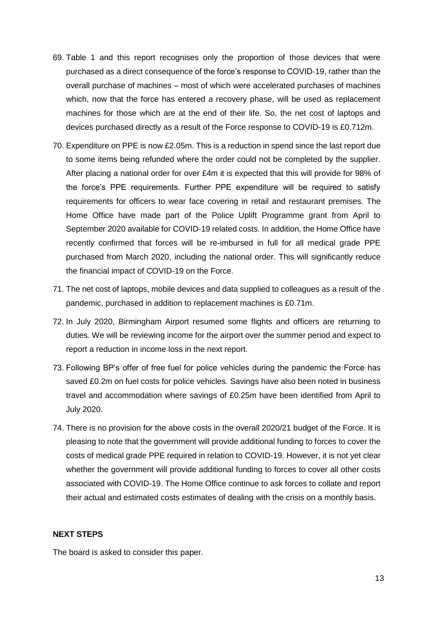- 69. Table 1 and this report recognises only the proportion of those devices that were purchased as a direct consequence of the force's response to COVID-19, rather than the overall purchase of machines – most of which were accelerated purchases of machines which, now that the force has entered a recovery phase, will be used as replacement machines for those which are at the end of their life. So, the net cost of laptops and devices purchased directly as a result of the Force response to COVID-19 is £0.712m.
- 70. Expenditure on PPE is now £2.05m. This is a reduction in spend since the last report due to some items being refunded where the order could not be completed by the supplier. After placing a national order for over £4m it is expected that this will provide for 98% of the force's PPE requirements. Further PPE expenditure will be required to satisfy requirements for officers to wear face covering in retail and restaurant premises. The Home Office have made part of the Police Uplift Programme grant from April to September 2020 available for COVID-19 related costs. In addition, the Home Office have recently confirmed that forces will be re-imbursed in full for all medical grade PPE purchased from March 2020, including the national order. This will significantly reduce the financial impact of COVID-19 on the Force.
- 71. The net cost of laptops, mobile devices and data supplied to colleagues as a result of the pandemic, purchased in addition to replacement machines is £0.71m.
- 72. In July 2020, Birmingham Airport resumed some flights and officers are returning to duties. We will be reviewing income for the airport over the summer period and expect to report a reduction in income loss in the next report.
- 73. Following BP's offer of free fuel for police vehicles during the pandemic the Force has saved £0.2m on fuel costs for police vehicles. Savings have also been noted in business travel and accommodation where savings of £0.25m have been identified from April to July 2020.
- 74. There is no provision for the above costs in the overall 2020/21 budget of the Force. It is pleasing to note that the government will provide additional funding to forces to cover the costs of medical grade PPE required in relation to COVID-19. However, it is not yet clear whether the government will provide additional funding to forces to cover all other costs associated with COVID-19. The Home Office continue to ask forces to collate and report their actual and estimated costs estimates of dealing with the crisis on a monthly basis.

### **NEXT STEPS**

The board is asked to consider this paper.